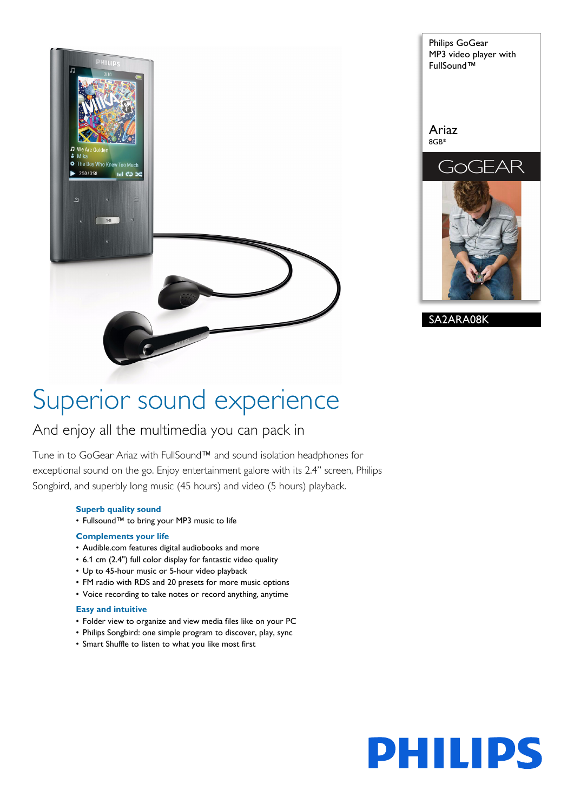



# Superior sound experience

# And enjoy all the multimedia you can pack in

Tune in to GoGear Ariaz with FullSound™ and sound isolation headphones for exceptional sound on the go. Enjoy entertainment galore with its 2.4" screen, Philips Songbird, and superbly long music (45 hours) and video (5 hours) playback.

# **Superb quality sound**

• Fullsound™ to bring your MP3 music to life

# **Complements your life**

- Audible.com features digital audiobooks and more
- 6.1 cm (2.4") full color display for fantastic video quality
- Up to 45-hour music or 5-hour video playback
- FM radio with RDS and 20 presets for more music options
- Voice recording to take notes or record anything, anytime

# **Easy and intuitive**

- Folder view to organize and view media files like on your PC
- Philips Songbird: one simple program to discover, play, sync
- Smart Shuffle to listen to what you like most first

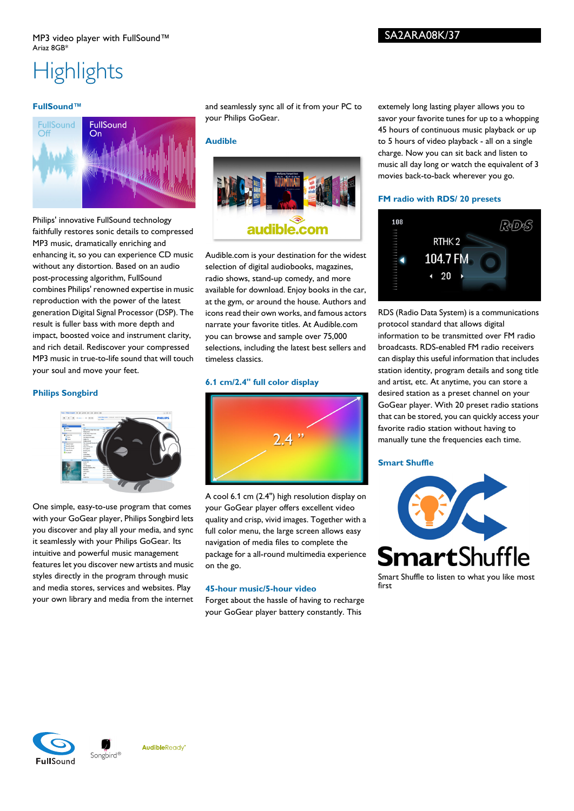# **Highlights**

# **FullSound™**



Philips' innovative FullSound technology faithfully restores sonic details to compressed MP3 music, dramatically enriching and enhancing it, so you can experience CD music without any distortion. Based on an audio post-processing algorithm, FullSound combines Philips' renowned expertise in music reproduction with the power of the latest generation Digital Signal Processor (DSP). The result is fuller bass with more depth and impact, boosted voice and instrument clarity, and rich detail. Rediscover your compressed MP3 music in true-to-life sound that will touch your soul and move your feet.

# **Philips Songbird**



One simple, easy-to-use program that comes with your GoGear player, Philips Songbird lets you discover and play all your media, and sync it seamlessly with your Philips GoGear. Its intuitive and powerful music management features let you discover new artists and music styles directly in the program through music and media stores, services and websites. Play your own library and media from the internet and seamlessly sync all of it from your PC to your Philips GoGear.

# **Audible**



Audible.com is your destination for the widest selection of digital audiobooks, magazines, radio shows, stand-up comedy, and more available for download. Enjoy books in the car, at the gym, or around the house. Authors and icons read their own works, and famous actors narrate your favorite titles. At Audible.com you can browse and sample over 75,000 selections, including the latest best sellers and timeless classics.

#### **6.1 cm/2.4" full color display**



A cool 6.1 cm (2.4") high resolution display on your GoGear player offers excellent video quality and crisp, vivid images. Together with a full color menu, the large screen allows easy navigation of media files to complete the package for a all-round multimedia experience on the go.

# **45-hour music/5-hour video**

Forget about the hassle of having to recharge your GoGear player battery constantly. This

extemely long lasting player allows you to savor your favorite tunes for up to a whopping 45 hours of continuous music playback or up to 5 hours of video playback - all on a single charge. Now you can sit back and listen to music all day long or watch the equivalent of 3 movies back-to-back wherever you go.

#### **FM radio with RDS/ 20 presets**



RDS (Radio Data System) is a communications protocol standard that allows digital information to be transmitted over FM radio broadcasts. RDS-enabled FM radio receivers can display this useful information that includes station identity, program details and song title and artist, etc. At anytime, you can store a desired station as a preset channel on your GoGear player. With 20 preset radio stations that can be stored, you can quickly access your favorite radio station without having to manually tune the frequencies each time.

#### **Smart Shuffle**



Smart Shuffle to listen to what you like most first